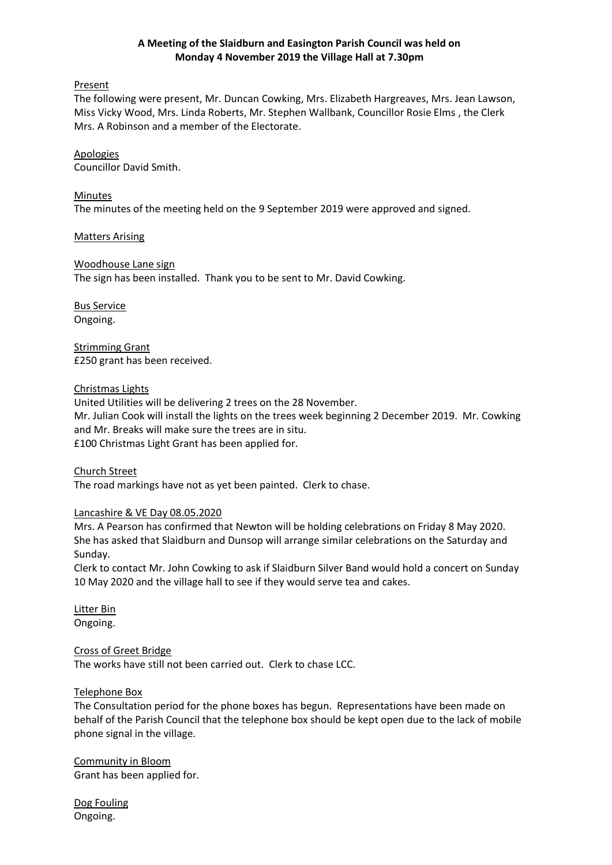### **A Meeting of the Slaidburn and Easington Parish Council was held on Monday 4 November 2019 the Village Hall at 7.30pm**

#### Present

The following were present, Mr. Duncan Cowking, Mrs. Elizabeth Hargreaves, Mrs. Jean Lawson, Miss Vicky Wood, Mrs. Linda Roberts, Mr. Stephen Wallbank, Councillor Rosie Elms , the Clerk Mrs. A Robinson and a member of the Electorate.

# Apologies

Councillor David Smith.

### Minutes

The minutes of the meeting held on the 9 September 2019 were approved and signed.

Matters Arising

## Woodhouse Lane sign

The sign has been installed. Thank you to be sent to Mr. David Cowking.

Bus Service Ongoing.

Strimming Grant £250 grant has been received.

## Christmas Lights

United Utilities will be delivering 2 trees on the 28 November. Mr. Julian Cook will install the lights on the trees week beginning 2 December 2019. Mr. Cowking and Mr. Breaks will make sure the trees are in situ. £100 Christmas Light Grant has been applied for.

Church Street The road markings have not as yet been painted. Clerk to chase.

#### Lancashire & VE Day 08.05.2020

Mrs. A Pearson has confirmed that Newton will be holding celebrations on Friday 8 May 2020. She has asked that Slaidburn and Dunsop will arrange similar celebrations on the Saturday and Sunday.

Clerk to contact Mr. John Cowking to ask if Slaidburn Silver Band would hold a concert on Sunday 10 May 2020 and the village hall to see if they would serve tea and cakes.

Litter Bin Ongoing.

#### Cross of Greet Bridge

The works have still not been carried out. Clerk to chase LCC.

#### Telephone Box

The Consultation period for the phone boxes has begun. Representations have been made on behalf of the Parish Council that the telephone box should be kept open due to the lack of mobile phone signal in the village.

Community in Bloom Grant has been applied for.

Dog Fouling Ongoing.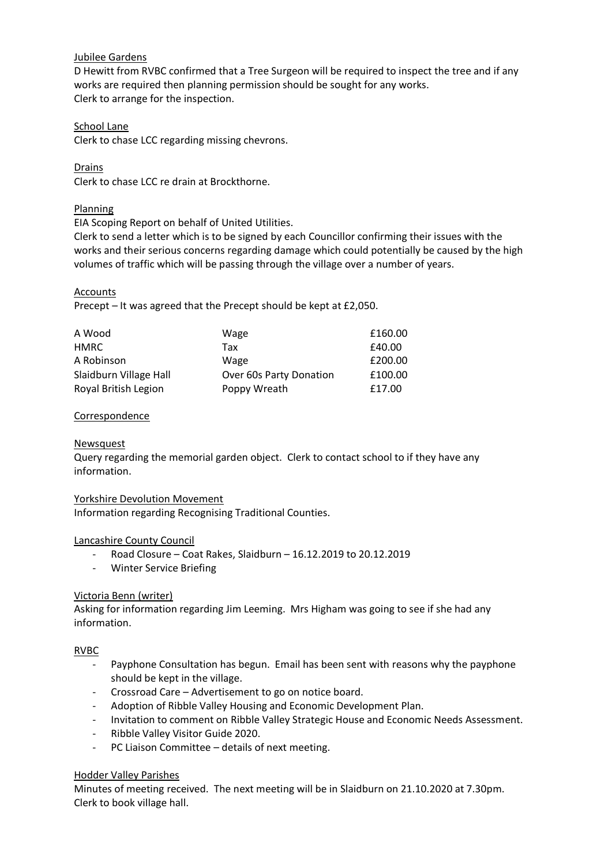# Jubilee Gardens

D Hewitt from RVBC confirmed that a Tree Surgeon will be required to inspect the tree and if any works are required then planning permission should be sought for any works. Clerk to arrange for the inspection.

## School Lane

Clerk to chase LCC regarding missing chevrons.

Drains Clerk to chase LCC re drain at Brockthorne.

# Planning

EIA Scoping Report on behalf of United Utilities.

Clerk to send a letter which is to be signed by each Councillor confirming their issues with the works and their serious concerns regarding damage which could potentially be caused by the high volumes of traffic which will be passing through the village over a number of years.

## Accounts

Precept – It was agreed that the Precept should be kept at £2,050.

| A Wood                 | Wage                    | £160.00 |
|------------------------|-------------------------|---------|
| HMRC                   | Tax                     | £40.00  |
| A Robinson             | Wage                    | £200.00 |
| Slaidburn Village Hall | Over 60s Party Donation | £100.00 |
| Royal British Legion   | Poppy Wreath            | £17.00  |

## **Correspondence**

#### **Newsquest**

Query regarding the memorial garden object. Clerk to contact school to if they have any information.

#### Yorkshire Devolution Movement

Information regarding Recognising Traditional Counties.

# Lancashire County Council

- Road Closure Coat Rakes, Slaidburn 16.12.2019 to 20.12.2019
- Winter Service Briefing

#### Victoria Benn (writer)

Asking for information regarding Jim Leeming. Mrs Higham was going to see if she had any information.

#### RVBC

- Payphone Consultation has begun. Email has been sent with reasons why the payphone should be kept in the village.
- Crossroad Care Advertisement to go on notice board.
- Adoption of Ribble Valley Housing and Economic Development Plan.
- Invitation to comment on Ribble Valley Strategic House and Economic Needs Assessment.
- Ribble Valley Visitor Guide 2020.
- PC Liaison Committee details of next meeting.

#### Hodder Valley Parishes

Minutes of meeting received. The next meeting will be in Slaidburn on 21.10.2020 at 7.30pm. Clerk to book village hall.